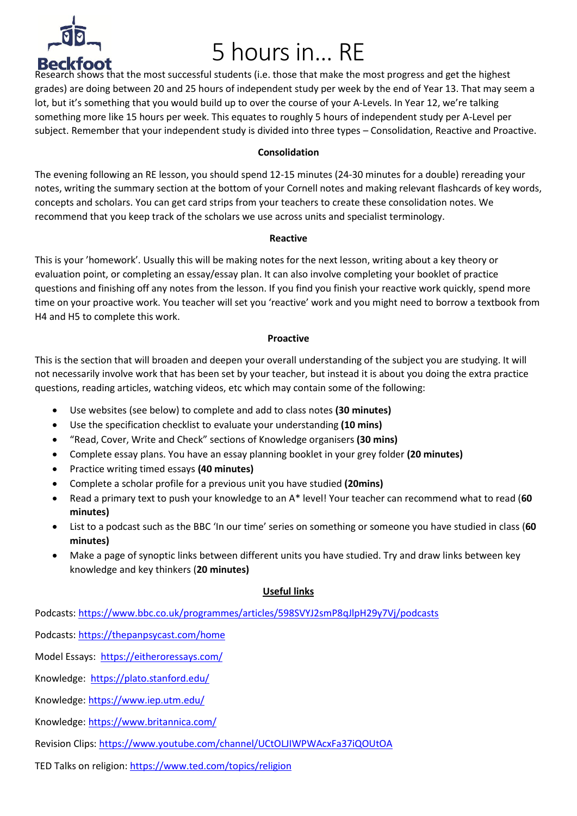

# 5 hours in… RE

Research shows that the most successful students (i.e. those that make the most progress and get the highest grades) are doing between 20 and 25 hours of independent study per week by the end of Year 13. That may seem a lot, but it's something that you would build up to over the course of your A-Levels. In Year 12, we're talking something more like 15 hours per week. This equates to roughly 5 hours of independent study per A-Level per subject. Remember that your independent study is divided into three types – Consolidation, Reactive and Proactive.

#### **Consolidation**

The evening following an RE lesson, you should spend 12-15 minutes (24-30 minutes for a double) rereading your notes, writing the summary section at the bottom of your Cornell notes and making relevant flashcards of key words, concepts and scholars. You can get card strips from your teachers to create these consolidation notes. We recommend that you keep track of the scholars we use across units and specialist terminology.

#### **Reactive**

This is your 'homework'. Usually this will be making notes for the next lesson, writing about a key theory or evaluation point, or completing an essay/essay plan. It can also involve completing your booklet of practice questions and finishing off any notes from the lesson. If you find you finish your reactive work quickly, spend more time on your proactive work. You teacher will set you 'reactive' work and you might need to borrow a textbook from H4 and H5 to complete this work.

## **Proactive**

This is the section that will broaden and deepen your overall understanding of the subject you are studying. It will not necessarily involve work that has been set by your teacher, but instead it is about you doing the extra practice questions, reading articles, watching videos, etc which may contain some of the following:

- Use websites (see below) to complete and add to class notes **(30 minutes)**
- Use the specification checklist to evaluate your understanding **(10 mins)**
- "Read, Cover, Write and Check" sections of Knowledge organisers **(30 mins)**
- Complete essay plans. You have an essay planning booklet in your grey folder **(20 minutes)**
- Practice writing timed essays **(40 minutes)**
- Complete a scholar profile for a previous unit you have studied **(20mins)**
- Read a primary text to push your knowledge to an A\* level! Your teacher can recommend what to read (**60 minutes)**
- List to a podcast such as the BBC 'In our time' series on something or someone you have studied in class (**60 minutes)**
- Make a page of synoptic links between different units you have studied. Try and draw links between key knowledge and key thinkers (**20 minutes)**

## **Useful links**

Podcasts:<https://www.bbc.co.uk/programmes/articles/598SVYJ2smP8qJlpH29y7Vj/podcasts>

Podcasts:<https://thepanpsycast.com/home>

Model Essays: <https://eitheroressays.com/>

Knowledge:<https://plato.stanford.edu/>

Knowledge:<https://www.iep.utm.edu/>

Knowledge:<https://www.britannica.com/>

Revision Clips:<https://www.youtube.com/channel/UCtOLJIWPWAcxFa37iQOUtOA>

TED Talks on religion:<https://www.ted.com/topics/religion>